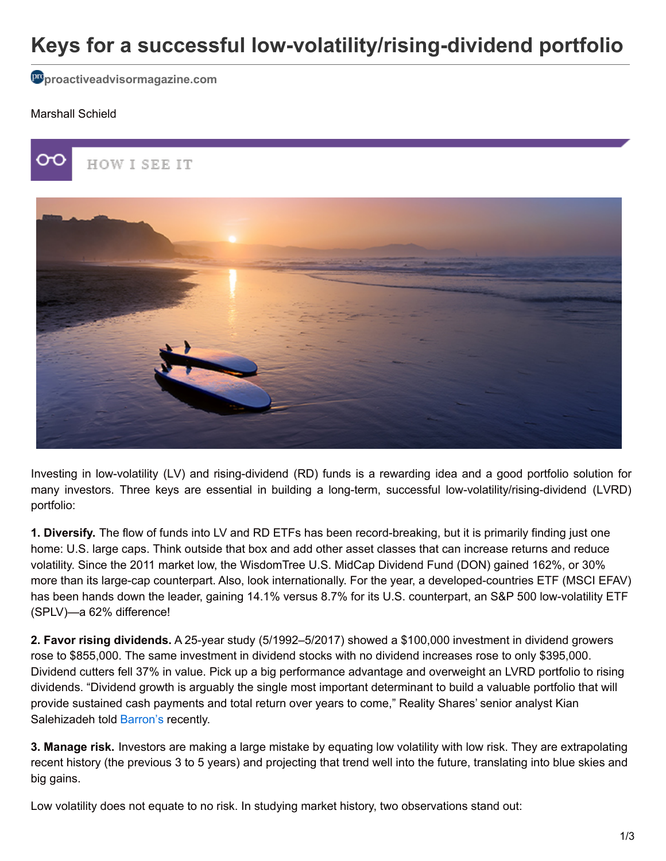# **Keys for a successful low-volatility/rising-dividend portfolio**

**[proactiveadvisormagazine.com](http://proactiveadvisormagazine.com/keys-successful-low-volatility-rising-dividend-portfolio/)**

#### Marshall Schield



Investing in low-volatility (LV) and rising-dividend (RD) funds is a rewarding idea and a good portfolio solution for many investors. Three keys are essential in building a long-term, successful low-volatility/rising-dividend (LVRD) portfolio:

**1. Diversify.** The flow of funds into LV and RD ETFs has been record-breaking, but it is primarily finding just one home: U.S. large caps. Think outside that box and add other asset classes that can increase returns and reduce volatility. Since the 2011 market low, the WisdomTree U.S. MidCap Dividend Fund (DON) gained 162%, or 30% more than its large-cap counterpart. Also, look internationally. For the year, a developed-countries ETF (MSCI EFAV) has been hands down the leader, gaining 14.1% versus 8.7% for its U.S. counterpart, an S&P 500 low-volatility ETF (SPLV)—a 62% difference!

**2. Favor rising dividends.** A 25-year study (5/1992–5/2017) showed a \$100,000 investment in dividend growers rose to \$855,000. The same investment in dividend stocks with no dividend increases rose to only \$395,000. Dividend cutters fell 37% in value. Pick up a big performance advantage and overweight an LVRD portfolio to rising dividends. "Dividend growth is arguably the single most important determinant to build a valuable portfolio that will provide sustained cash payments and total return over years to come," Reality Shares' senior analyst Kian Salehizadeh told [Barron's](http://www.barrons.com/articles/top-stocks-for-long-term-payout-growth-1500093231) recently.

**3. Manage risk.** Investors are making a large mistake by equating low volatility with low risk. They are extrapolating recent history (the previous 3 to 5 years) and projecting that trend well into the future, translating into blue skies and big gains.

Low volatility does not equate to no risk. In studying market history, two observations stand out: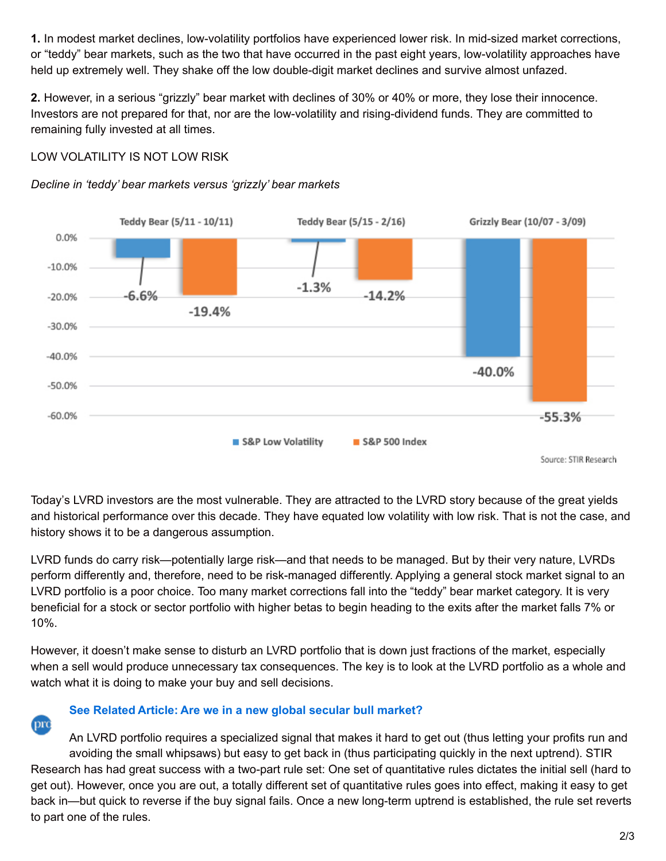**1.** In modest market declines, low-volatility portfolios have experienced lower risk. In mid-sized market corrections, or "teddy" bear markets, such as the two that have occurred in the past eight years, low-volatility approaches have held up extremely well. They shake off the low double-digit market declines and survive almost unfazed.

**2.** However, in a serious "grizzly" bear market with declines of 30% or 40% or more, they lose their innocence. Investors are not prepared for that, nor are the low-volatility and rising-dividend funds. They are committed to remaining fully invested at all times.

#### LOW VOLATILITY IS NOT LOW RISK





Today's LVRD investors are the most vulnerable. They are attracted to the LVRD story because of the great yields and historical performance over this decade. They have equated low volatility with low risk. That is not the case, and history shows it to be a dangerous assumption.

LVRD funds do carry risk—potentially large risk—and that needs to be managed. But by their very nature, LVRDs perform differently and, therefore, need to be risk-managed differently. Applying a general stock market signal to an LVRD portfolio is a poor choice. Too many market corrections fall into the "teddy" bear market category. It is very beneficial for a stock or sector portfolio with higher betas to begin heading to the exits after the market falls 7% or 10%.

However, it doesn't make sense to disturb an LVRD portfolio that is down just fractions of the market, especially when a sell would produce unnecessary tax consequences. The key is to look at the LVRD portfolio as a whole and watch what it is doing to make your buy and sell decisions.

## pro

### **[See Related Article: Are we in a new global secular bull market?](http://proactiveadvisormagazine.com/new-global-secular-bull-market/?_sf_s=marshall+schield)**

An LVRD portfolio requires a specialized signal that makes it hard to get out (thus letting your profits run and avoiding the small whipsaws) but easy to get back in (thus participating quickly in the next uptrend). STIR Research has had great success with a two-part rule set: One set of quantitative rules dictates the initial sell (hard to get out). However, once you are out, a totally different set of quantitative rules goes into effect, making it easy to get back in—but quick to reverse if the buy signal fails. Once a new long-term uptrend is established, the rule set reverts to part one of the rules.